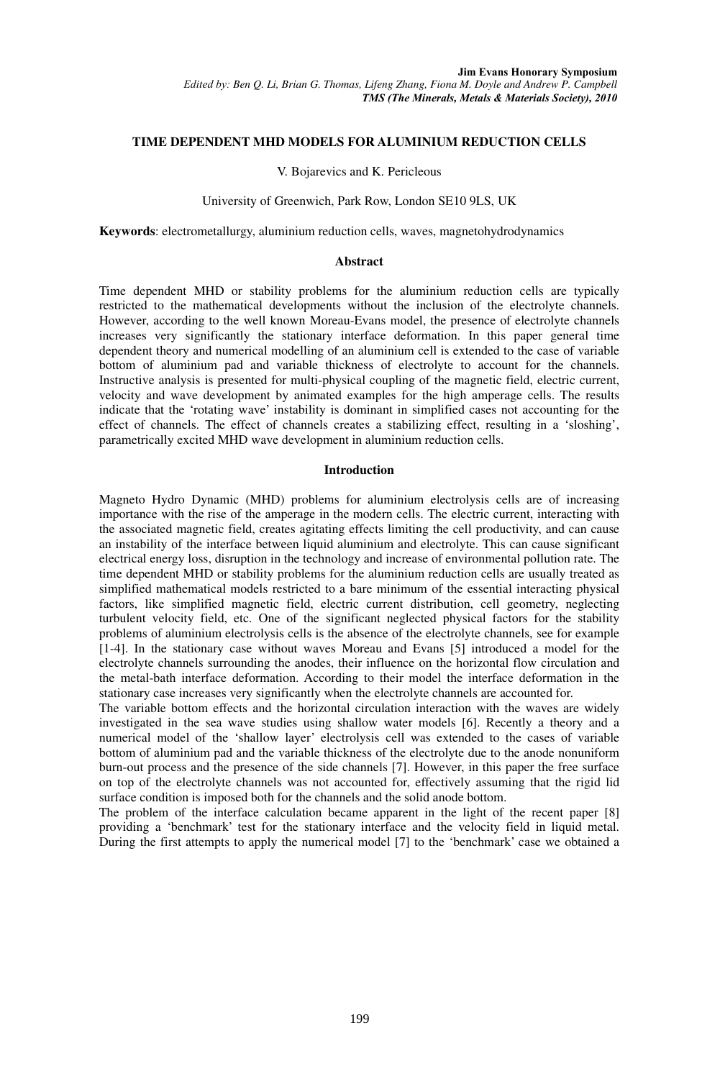# **TIME DEPENDENT MHD MODELS FOR ALUMINIUM REDUCTION CELLS**

#### V. Bojarevics and K. Pericleous

#### University of Greenwich, Park Row, London SE10 9LS, UK

**Keywords**: electrometallurgy, aluminium reduction cells, waves, magnetohydrodynamics

# **Abstract**

Time dependent MHD or stability problems for the aluminium reduction cells are typically restricted to the mathematical developments without the inclusion of the electrolyte channels. However, according to the well known Moreau-Evans model, the presence of electrolyte channels increases very significantly the stationary interface deformation. In this paper general time dependent theory and numerical modelling of an aluminium cell is extended to the case of variable bottom of aluminium pad and variable thickness of electrolyte to account for the channels. Instructive analysis is presented for multi-physical coupling of the magnetic field, electric current, velocity and wave development by animated examples for the high amperage cells. The results indicate that the 'rotating wave' instability is dominant in simplified cases not accounting for the effect of channels. The effect of channels creates a stabilizing effect, resulting in a 'sloshing', parametrically excited MHD wave development in aluminium reduction cells.

## **Introduction**

Magneto Hydro Dynamic (MHD) problems for aluminium electrolysis cells are of increasing importance with the rise of the amperage in the modern cells. The electric current, interacting with the associated magnetic field, creates agitating effects limiting the cell productivity, and can cause an instability of the interface between liquid aluminium and electrolyte. This can cause significant electrical energy loss, disruption in the technology and increase of environmental pollution rate. The time dependent MHD or stability problems for the aluminium reduction cells are usually treated as simplified mathematical models restricted to a bare minimum of the essential interacting physical factors, like simplified magnetic field, electric current distribution, cell geometry, neglecting turbulent velocity field, etc. One of the significant neglected physical factors for the stability problems of aluminium electrolysis cells is the absence of the electrolyte channels, see for example [1-4]. In the stationary case without waves Moreau and Evans [5] introduced a model for the electrolyte channels surrounding the anodes, their influence on the horizontal flow circulation and the metal-bath interface deformation. According to their model the interface deformation in the stationary case increases very significantly when the electrolyte channels are accounted for.

The variable bottom effects and the horizontal circulation interaction with the waves are widely investigated in the sea wave studies using shallow water models [6]. Recently a theory and a numerical model of the 'shallow layer' electrolysis cell was extended to the cases of variable bottom of aluminium pad and the variable thickness of the electrolyte due to the anode nonuniform burn-out process and the presence of the side channels [7]. However, in this paper the free surface on top of the electrolyte channels was not accounted for, effectively assuming that the rigid lid surface condition is imposed both for the channels and the solid anode bottom.

The problem of the interface calculation became apparent in the light of the recent paper [8] providing a 'benchmark' test for the stationary interface and the velocity field in liquid metal. During the first attempts to apply the numerical model [7] to the 'benchmark' case we obtained a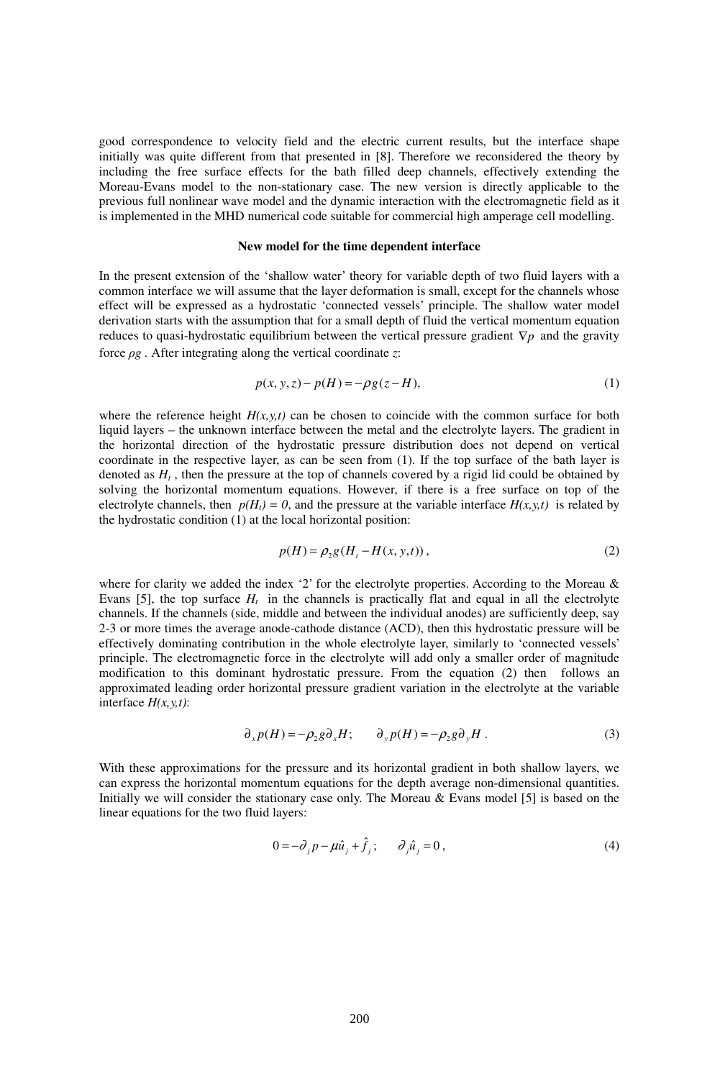good correspondence to velocity field and the electric current results, but the interface shape initially was quite different from that presented in [8]. Therefore we reconsidered the theory by including the free surface effects for the bath filled deep channels, effectively extending the Moreau-Evans model to the non-stationary case. The new version is directly applicable to the previous full nonlinear wave model and the dynamic interaction with the electromagnetic field as it is implemented in the MHD numerical code suitable for commercial high amperage cell modelling.

## **New model for the time dependent interface**

In the present extension of the 'shallow water' theory for variable depth of two fluid layers with a common interface we will assume that the layer deformation is small, except for the channels whose effect will be expressed as a hydrostatic 'connected vessels' principle. The shallow water model derivation starts with the assumption that for a small depth of fluid the vertical momentum equation reduces to quasi-hydrostatic equilibrium between the vertical pressure gradient ∇*p* and the gravity force ρ*g .* After integrating along the vertical coordinate *z*:

$$
p(x, y, z) - p(H) = -\rho g(z - H),\tag{1}
$$

where the reference height  $H(x, y, t)$  can be chosen to coincide with the common surface for both liquid layers – the unknown interface between the metal and the electrolyte layers. The gradient in the horizontal direction of the hydrostatic pressure distribution does not depend on vertical coordinate in the respective layer, as can be seen from (1). If the top surface of the bath layer is denoted as  $H_t$ , then the pressure at the top of channels covered by a rigid lid could be obtained by solving the horizontal momentum equations. However, if there is a free surface on top of the electrolyte channels, then  $p(H_t) = 0$ , and the pressure at the variable interface  $H(x, y, t)$  is related by the hydrostatic condition (1) at the local horizontal position:

$$
p(H) = \rho_2 g(H_t - H(x, y, t)),
$$
\n(2)

where for clarity we added the index '2' for the electrolyte properties. According to the Moreau & Evans [5], the top surface  $H_t$  in the channels is practically flat and equal in all the electrolyte channels. If the channels (side, middle and between the individual anodes) are sufficiently deep, say 2-3 or more times the average anode-cathode distance (ACD), then this hydrostatic pressure will be effectively dominating contribution in the whole electrolyte layer, similarly to 'connected vessels' principle. The electromagnetic force in the electrolyte will add only a smaller order of magnitude modification to this dominant hydrostatic pressure. From the equation (2) then follows an approximated leading order horizontal pressure gradient variation in the electrolyte at the variable interface *H(x,y,t)*:

$$
\partial_x p(H) = -\rho_2 g \partial_x H; \qquad \partial_y p(H) = -\rho_2 g \partial_y H. \tag{3}
$$

With these approximations for the pressure and its horizontal gradient in both shallow layers, we can express the horizontal momentum equations for the depth average non-dimensional quantities. Initially we will consider the stationary case only. The Moreau & Evans model [5] is based on the linear equations for the two fluid layers:

$$
0 = -\partial_j p - \mu \hat{u}_j + \hat{f}_j; \qquad \partial_j \hat{u}_j = 0, \qquad (4)
$$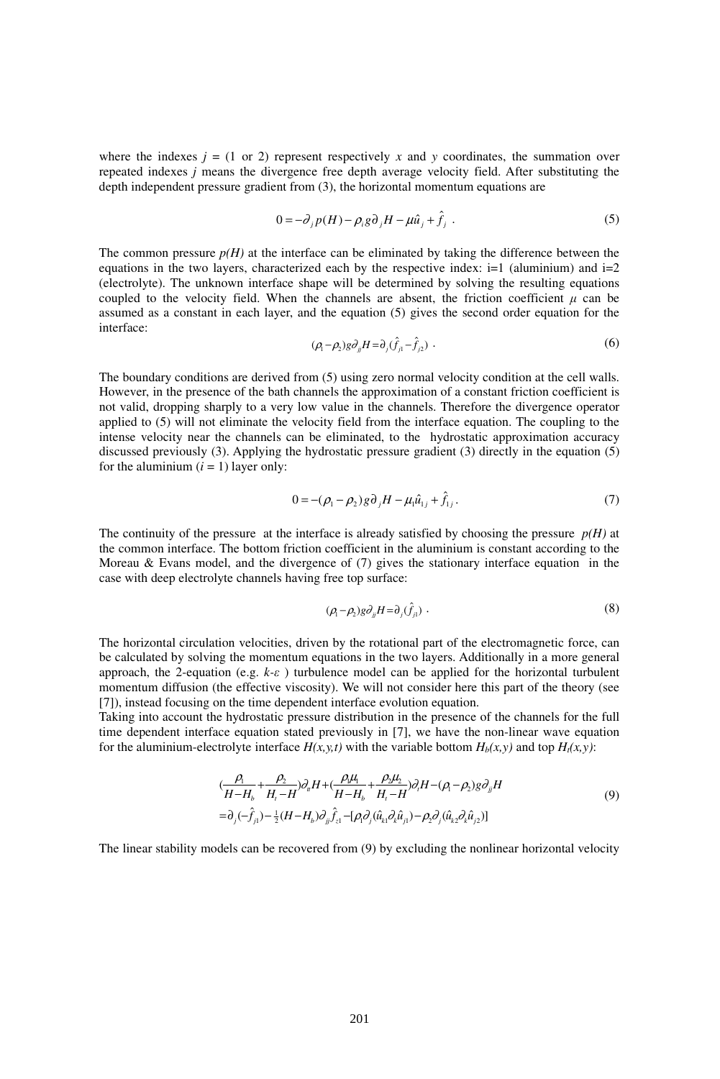where the indexes  $j = (1 \text{ or } 2)$  represent respectively x and y coordinates, the summation over repeated indexes *j* means the divergence free depth average velocity field. After substituting the depth independent pressure gradient from (3), the horizontal momentum equations are

$$
0 = -\partial_j p(H) - \rho_i g \partial_j H - \mu \hat{u}_j + \hat{f}_j . \tag{5}
$$

The common pressure  $p(H)$  at the interface can be eliminated by taking the difference between the equations in the two layers, characterized each by the respective index:  $i=1$  (aluminium) and  $i=2$ (electrolyte). The unknown interface shape will be determined by solving the resulting equations coupled to the velocity field. When the channels are absent, the friction coefficient  $\mu$  can be assumed as a constant in each layer, and the equation (5) gives the second order equation for the interface:

$$
(\rho_{\scriptscriptstyle 1}-\rho_{\scriptscriptstyle 2})g\partial_{_{jj}}H = \partial_{_{j}}(\hat{f}_{\scriptscriptstyle j1}-\hat{f}_{\scriptscriptstyle j2})\ . \tag{6}
$$

The boundary conditions are derived from (5) using zero normal velocity condition at the cell walls. However, in the presence of the bath channels the approximation of a constant friction coefficient is not valid, dropping sharply to a very low value in the channels. Therefore the divergence operator applied to (5) will not eliminate the velocity field from the interface equation. The coupling to the intense velocity near the channels can be eliminated, to the hydrostatic approximation accuracy discussed previously (3). Applying the hydrostatic pressure gradient (3) directly in the equation (5) for the aluminium  $(i = 1)$  layer only:

$$
0 = -(\rho_1 - \rho_2) g \partial_j H - \mu_i \hat{u}_{1j} + \hat{f}_{1j}.
$$
 (7)

The continuity of the pressure at the interface is already satisfied by choosing the pressure  $p(H)$  at the common interface. The bottom friction coefficient in the aluminium is constant according to the Moreau & Evans model, and the divergence of (7) gives the stationary interface equation in the case with deep electrolyte channels having free top surface:

$$
(\rho_1 - \rho_2) g \partial_{jj} H = \partial_j (\hat{f}_{j1}) \tag{8}
$$

The horizontal circulation velocities, driven by the rotational part of the electromagnetic force, can be calculated by solving the momentum equations in the two layers. Additionally in a more general approach, the 2-equation (e.g. *k-*ε ) turbulence model can be applied for the horizontal turbulent momentum diffusion (the effective viscosity). We will not consider here this part of the theory (see [7]), instead focusing on the time dependent interface evolution equation.

Taking into account the hydrostatic pressure distribution in the presence of the channels for the full time dependent interface equation stated previously in [7], we have the non-linear wave equation for the aluminium-electrolyte interface  $H(x, y, t)$  with the variable bottom  $H_b(x, y)$  and top  $H_t(x, y)$ :

$$
\left(\frac{\rho_{1}}{H-H_{b}}+\frac{\rho_{2}}{H_{1}-H}\right)\partial_{u}H+\left(\frac{\rho_{1}\mu_{1}}{H-H_{b}}+\frac{\rho_{2}\mu_{2}}{H_{1}-H}\right)\partial_{i}H-(\rho_{1}-\rho_{2})g\partial_{ij}H
$$
\n
$$
=\partial_{j}(-\hat{f}_{j1})-\frac{1}{2}(H-H_{b})\partial_{jj}\hat{f}_{z1}-[\rho_{i}\partial_{j}(\hat{u}_{k1}\partial_{k}\hat{u}_{j1})-\rho_{2}\partial_{j}(\hat{u}_{k2}\partial_{k}\hat{u}_{j2})]
$$
\n(9)

The linear stability models can be recovered from (9) by excluding the nonlinear horizontal velocity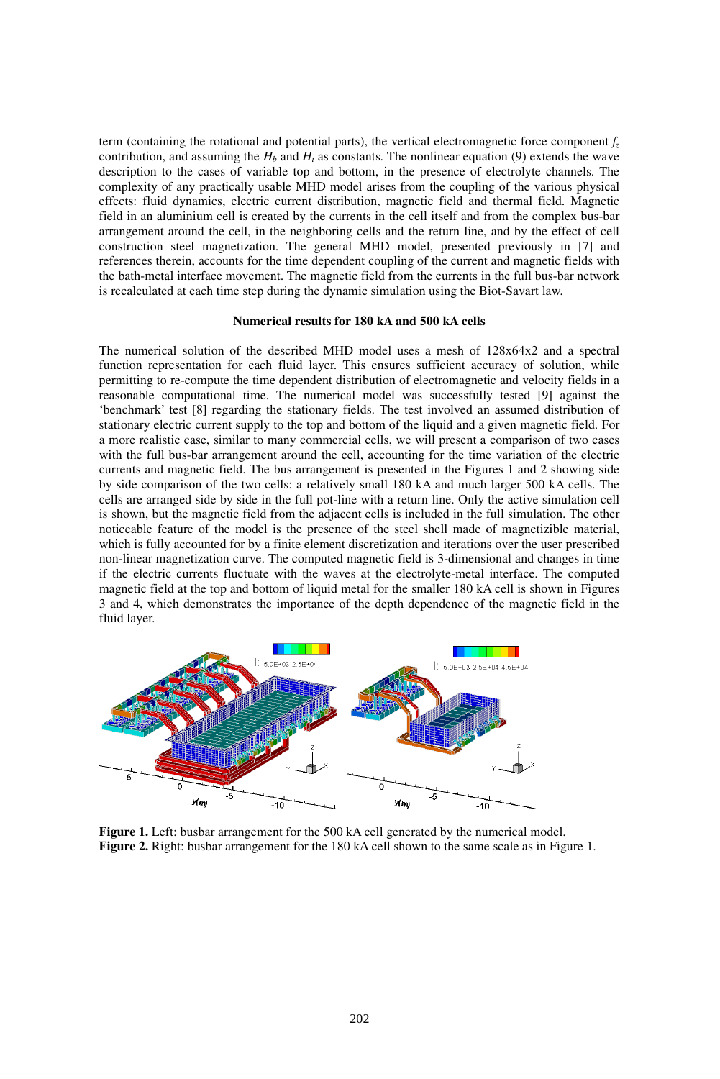term (containing the rotational and potential parts), the vertical electromagnetic force component  $f<sub>z</sub>$ contribution, and assuming the  $H_b$  and  $H_t$  as constants. The nonlinear equation (9) extends the wave description to the cases of variable top and bottom, in the presence of electrolyte channels. The complexity of any practically usable MHD model arises from the coupling of the various physical effects: fluid dynamics, electric current distribution, magnetic field and thermal field. Magnetic field in an aluminium cell is created by the currents in the cell itself and from the complex bus-bar arrangement around the cell, in the neighboring cells and the return line, and by the effect of cell construction steel magnetization. The general MHD model, presented previously in [7] and references therein, accounts for the time dependent coupling of the current and magnetic fields with the bath-metal interface movement. The magnetic field from the currents in the full bus-bar network is recalculated at each time step during the dynamic simulation using the Biot-Savart law.

# **Numerical results for 180 kA and 500 kA cells**

The numerical solution of the described MHD model uses a mesh of 128x64x2 and a spectral function representation for each fluid layer. This ensures sufficient accuracy of solution, while permitting to re-compute the time dependent distribution of electromagnetic and velocity fields in a reasonable computational time. The numerical model was successfully tested [9] against the 'benchmark' test [8] regarding the stationary fields. The test involved an assumed distribution of stationary electric current supply to the top and bottom of the liquid and a given magnetic field. For a more realistic case, similar to many commercial cells, we will present a comparison of two cases with the full bus-bar arrangement around the cell, accounting for the time variation of the electric currents and magnetic field. The bus arrangement is presented in the Figures 1 and 2 showing side by side comparison of the two cells: a relatively small 180 kA and much larger 500 kA cells. The cells are arranged side by side in the full pot-line with a return line. Only the active simulation cell is shown, but the magnetic field from the adjacent cells is included in the full simulation. The other noticeable feature of the model is the presence of the steel shell made of magnetizible material, which is fully accounted for by a finite element discretization and iterations over the user prescribed non-linear magnetization curve. The computed magnetic field is 3-dimensional and changes in time if the electric currents fluctuate with the waves at the electrolyte-metal interface. The computed magnetic field at the top and bottom of liquid metal for the smaller 180 kA cell is shown in Figures 3 and 4, which demonstrates the importance of the depth dependence of the magnetic field in the fluid layer.



**Figure 1.** Left: busbar arrangement for the 500 kA cell generated by the numerical model. **Figure 2.** Right: busbar arrangement for the 180 kA cell shown to the same scale as in Figure 1.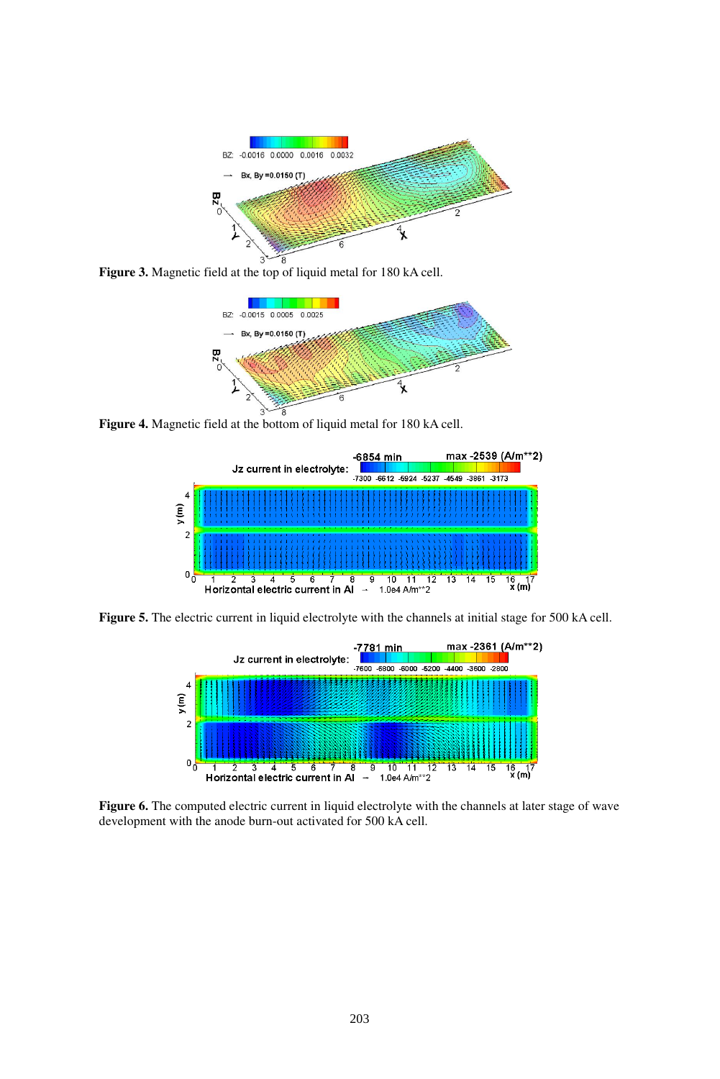

**Figure 3.** Magnetic field at the top of liquid metal for 180 kA cell.



**Figure 4.** Magnetic field at the bottom of liquid metal for 180 kA cell.



**Figure 5.** The electric current in liquid electrolyte with the channels at initial stage for 500 kA cell.



**Figure 6.** The computed electric current in liquid electrolyte with the channels at later stage of wave development with the anode burn-out activated for 500 kA cell.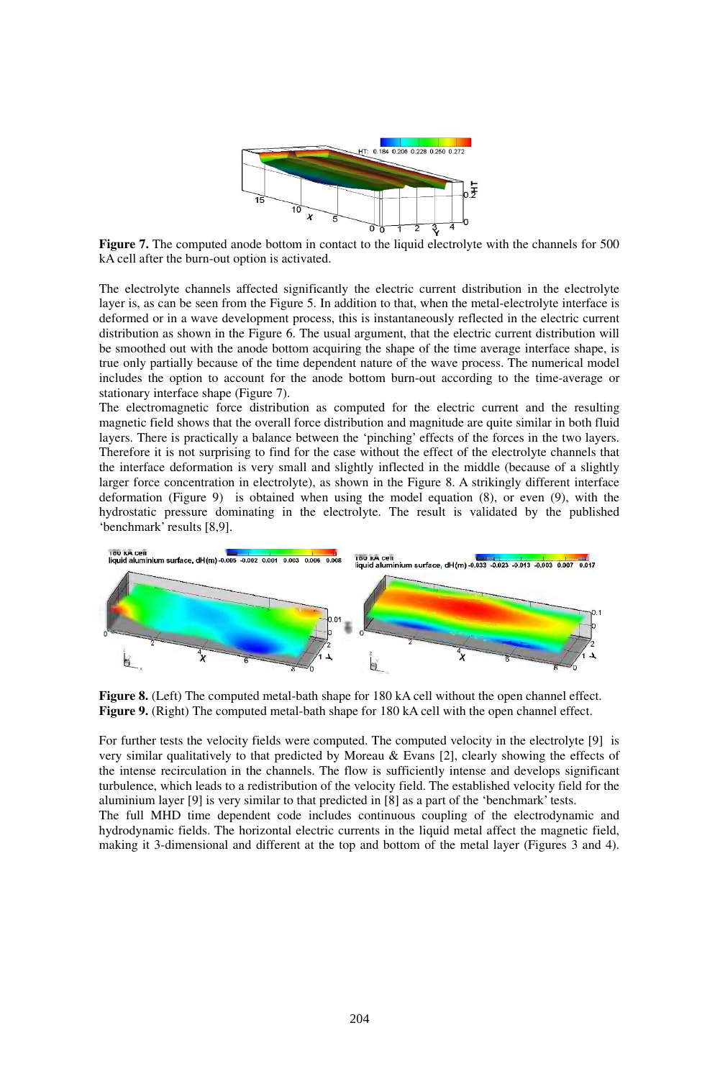

**Figure 7.** The computed anode bottom in contact to the liquid electrolyte with the channels for 500 kA cell after the burn-out option is activated.

The electrolyte channels affected significantly the electric current distribution in the electrolyte layer is, as can be seen from the Figure 5. In addition to that, when the metal-electrolyte interface is deformed or in a wave development process, this is instantaneously reflected in the electric current distribution as shown in the Figure 6. The usual argument, that the electric current distribution will be smoothed out with the anode bottom acquiring the shape of the time average interface shape, is true only partially because of the time dependent nature of the wave process. The numerical model includes the option to account for the anode bottom burn-out according to the time-average or stationary interface shape (Figure 7).

The electromagnetic force distribution as computed for the electric current and the resulting magnetic field shows that the overall force distribution and magnitude are quite similar in both fluid layers. There is practically a balance between the 'pinching' effects of the forces in the two layers. Therefore it is not surprising to find for the case without the effect of the electrolyte channels that the interface deformation is very small and slightly inflected in the middle (because of a slightly larger force concentration in electrolyte), as shown in the Figure 8. A strikingly different interface deformation (Figure 9) is obtained when using the model equation (8), or even (9), with the hydrostatic pressure dominating in the electrolyte. The result is validated by the published 'benchmark' results [8,9].



**Figure 8.** (Left) The computed metal-bath shape for 180 kA cell without the open channel effect. **Figure 9.** (Right) The computed metal-bath shape for 180 kA cell with the open channel effect.

For further tests the velocity fields were computed. The computed velocity in the electrolyte [9] is very similar qualitatively to that predicted by Moreau & Evans [2], clearly showing the effects of the intense recirculation in the channels. The flow is sufficiently intense and develops significant turbulence, which leads to a redistribution of the velocity field. The established velocity field for the aluminium layer [9] is very similar to that predicted in [8] as a part of the 'benchmark' tests. The full MHD time dependent code includes continuous coupling of the electrodynamic and hydrodynamic fields. The horizontal electric currents in the liquid metal affect the magnetic field, making it 3-dimensional and different at the top and bottom of the metal layer (Figures 3 and 4).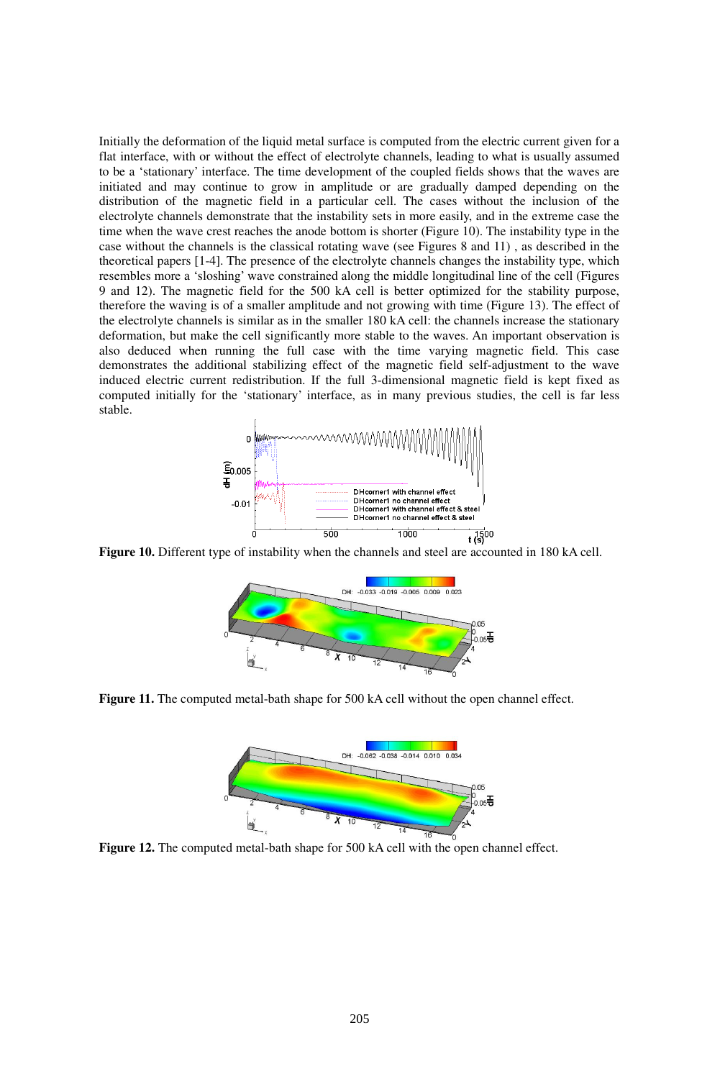Initially the deformation of the liquid metal surface is computed from the electric current given for a flat interface, with or without the effect of electrolyte channels, leading to what is usually assumed to be a 'stationary' interface. The time development of the coupled fields shows that the waves are initiated and may continue to grow in amplitude or are gradually damped depending on the distribution of the magnetic field in a particular cell. The cases without the inclusion of the electrolyte channels demonstrate that the instability sets in more easily, and in the extreme case the time when the wave crest reaches the anode bottom is shorter (Figure 10). The instability type in the case without the channels is the classical rotating wave (see Figures 8 and 11) , as described in the theoretical papers [1-4]. The presence of the electrolyte channels changes the instability type, which resembles more a 'sloshing' wave constrained along the middle longitudinal line of the cell (Figures 9 and 12). The magnetic field for the 500 kA cell is better optimized for the stability purpose, therefore the waving is of a smaller amplitude and not growing with time (Figure 13). The effect of the electrolyte channels is similar as in the smaller 180 kA cell: the channels increase the stationary deformation, but make the cell significantly more stable to the waves. An important observation is also deduced when running the full case with the time varying magnetic field. This case demonstrates the additional stabilizing effect of the magnetic field self-adjustment to the wave induced electric current redistribution. If the full 3-dimensional magnetic field is kept fixed as computed initially for the 'stationary' interface, as in many previous studies, the cell is far less stable.



**Figure 10.** Different type of instability when the channels and steel are accounted in 180 kA cell.



**Figure 11.** The computed metal-bath shape for 500 kA cell without the open channel effect.



**Figure 12.** The computed metal-bath shape for 500 kA cell with the open channel effect.